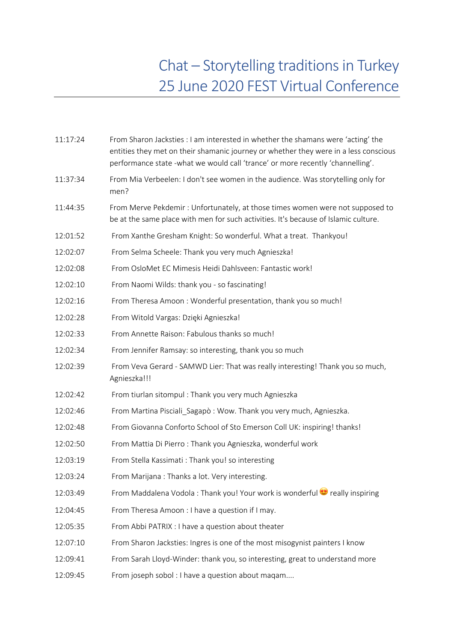## Chat – Storytelling traditions in Turkey 25 June 2020 FEST Virtual Conference

| 11:17:24 | From Sharon Jacksties : I am interested in whether the shamans were 'acting' the<br>entities they met on their shamanic journey or whether they were in a less conscious<br>performance state -what we would call 'trance' or more recently 'channelling'. |
|----------|------------------------------------------------------------------------------------------------------------------------------------------------------------------------------------------------------------------------------------------------------------|
| 11:37:34 | From Mia Verbeelen: I don't see women in the audience. Was storytelling only for<br>men?                                                                                                                                                                   |
| 11:44:35 | From Merve Pekdemir: Unfortunately, at those times women were not supposed to<br>be at the same place with men for such activities. It's because of Islamic culture.                                                                                       |
| 12:01:52 | From Xanthe Gresham Knight: So wonderful. What a treat. Thankyou!                                                                                                                                                                                          |
| 12:02:07 | From Selma Scheele: Thank you very much Agnieszka!                                                                                                                                                                                                         |
| 12:02:08 | From OsloMet EC Mimesis Heidi Dahlsveen: Fantastic work!                                                                                                                                                                                                   |
| 12:02:10 | From Naomi Wilds: thank you - so fascinating!                                                                                                                                                                                                              |
| 12:02:16 | From Theresa Amoon: Wonderful presentation, thank you so much!                                                                                                                                                                                             |
| 12:02:28 | From Witold Vargas: Dzięki Agnieszka!                                                                                                                                                                                                                      |
| 12:02:33 | From Annette Raison: Fabulous thanks so much!                                                                                                                                                                                                              |
| 12:02:34 | From Jennifer Ramsay: so interesting, thank you so much                                                                                                                                                                                                    |
| 12:02:39 | From Veva Gerard - SAMWD Lier: That was really interesting! Thank you so much,<br>Agnieszka!!!                                                                                                                                                             |
| 12:02:42 | From tiurlan sitompul: Thank you very much Agnieszka                                                                                                                                                                                                       |
| 12:02:46 | From Martina Pisciali_Sagapò: Wow. Thank you very much, Agnieszka.                                                                                                                                                                                         |
| 12:02:48 | From Giovanna Conforto School of Sto Emerson Coll UK: inspiring! thanks!                                                                                                                                                                                   |
| 12:02:50 | From Mattia Di Pierro: Thank you Agnieszka, wonderful work                                                                                                                                                                                                 |
| 12:03:19 | From Stella Kassimati: Thank you! so interesting                                                                                                                                                                                                           |
| 12:03:24 | From Marijana: Thanks a lot. Very interesting.                                                                                                                                                                                                             |
| 12:03:49 | From Maddalena Vodola: Thank you! Your work is wonderful $\bullet$ really inspiring                                                                                                                                                                        |
| 12:04:45 | From Theresa Amoon : I have a question if I may.                                                                                                                                                                                                           |
| 12:05:35 | From Abbi PATRIX : I have a question about theater                                                                                                                                                                                                         |
| 12:07:10 | From Sharon Jacksties: Ingres is one of the most misogynist painters I know                                                                                                                                                                                |
| 12:09:41 | From Sarah Lloyd-Winder: thank you, so interesting, great to understand more                                                                                                                                                                               |
| 12:09:45 | From joseph sobol : I have a question about magam                                                                                                                                                                                                          |